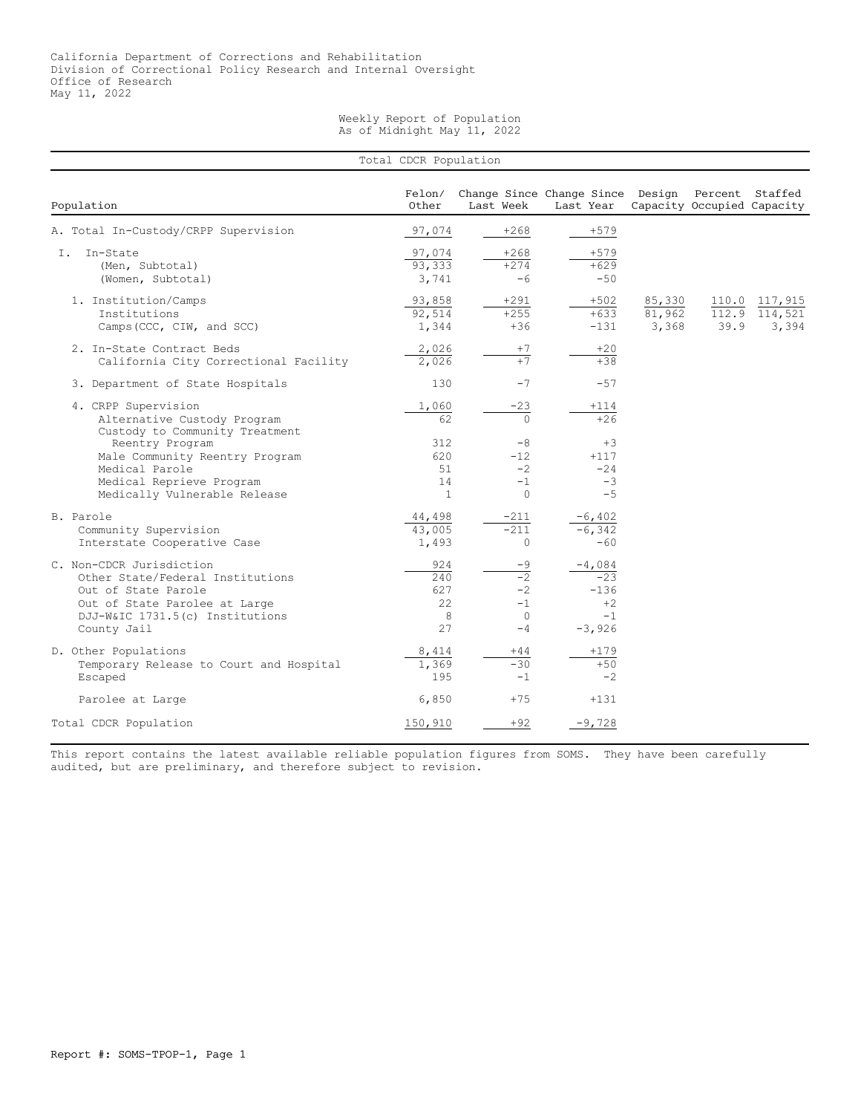## Weekly Report of Population As of Midnight May 11, 2022

|                                                                                                                                                                        | Total CDCR Population                  |                                                                   |                                                         |                           |      |                                               |
|------------------------------------------------------------------------------------------------------------------------------------------------------------------------|----------------------------------------|-------------------------------------------------------------------|---------------------------------------------------------|---------------------------|------|-----------------------------------------------|
| Population                                                                                                                                                             | Felon/<br>Other                        | Last Week                                                         | Change Since Change Since Design<br>Last Year           |                           |      | Percent Staffed<br>Capacity Occupied Capacity |
| A. Total In-Custody/CRPP Supervision                                                                                                                                   | 97,074                                 | $+268$                                                            | $+579$                                                  |                           |      |                                               |
| In-State<br>T.<br>(Men, Subtotal)<br>(Women, Subtotal)                                                                                                                 | 97,074<br>93,333<br>3,741              | $+268$<br>$+274$<br>$-6$                                          | $+579$<br>$+629$<br>$-50$                               |                           |      |                                               |
| 1. Institution/Camps<br>Institutions<br>Camps (CCC, CIW, and SCC)                                                                                                      | 93,858<br>92,514<br>1,344              | $+291$<br>$+255$<br>$+36$                                         | $+502$<br>$+633$<br>$-131$                              | 85,330<br>81,962<br>3,368 | 39.9 | 110.0 117,915<br>112.9 114,521<br>3,394       |
| 2. In-State Contract Beds<br>California City Correctional Facility                                                                                                     | 2,026<br>2,026                         | $+7$<br>$+7$                                                      | $+20$<br>$+38$                                          |                           |      |                                               |
| 3. Department of State Hospitals                                                                                                                                       | 130                                    | $-7$                                                              | $-57$                                                   |                           |      |                                               |
| 4. CRPP Supervision<br>Alternative Custody Program<br>Custody to Community Treatment                                                                                   | 1,060<br>62                            | $-23$<br>$\Omega$                                                 | $+114$<br>$+26$                                         |                           |      |                                               |
| Reentry Program<br>Male Community Reentry Program<br>Medical Parole<br>Medical Reprieve Program<br>Medically Vulnerable Release                                        | 312<br>620<br>51<br>14<br>$\mathbf{1}$ | $-8$<br>$-12$<br>$-2$<br>$-1$<br>$\circ$                          | $+3$<br>$+117$<br>$-24$<br>$-3$<br>$-5$                 |                           |      |                                               |
| B. Parole<br>Community Supervision<br>Interstate Cooperative Case                                                                                                      | 44,498<br>43,005<br>1,493              | $-211$<br>$-211$<br>$\circ$                                       | $-6,402$<br>$-6,342$<br>$-60$                           |                           |      |                                               |
| C. Non-CDCR Jurisdiction<br>Other State/Federal Institutions<br>Out of State Parole<br>Out of State Parolee at Large<br>DJJ-W&IC 1731.5(c) Institutions<br>County Jail | 924<br>240<br>627<br>22<br>8<br>27     | $-9$<br>$\overline{-2}$<br>$-2$<br>$-1$<br>$\overline{0}$<br>$-4$ | $-4,084$<br>$-23$<br>$-136$<br>$+2$<br>$-1$<br>$-3,926$ |                           |      |                                               |
| D. Other Populations<br>Temporary Release to Court and Hospital<br>Escaped                                                                                             | 8,414<br>1,369<br>195                  | $+44$<br>$-30$<br>$-1$                                            | $+179$<br>$+50$<br>$-2$                                 |                           |      |                                               |
| Parolee at Large                                                                                                                                                       | 6,850                                  | $+75$                                                             | $+131$                                                  |                           |      |                                               |
| Total CDCR Population                                                                                                                                                  | 150,910                                | $+92$                                                             | $-9,728$                                                |                           |      |                                               |

This report contains the latest available reliable population figures from SOMS. They have been carefully audited, but are preliminary, and therefore subject to revision.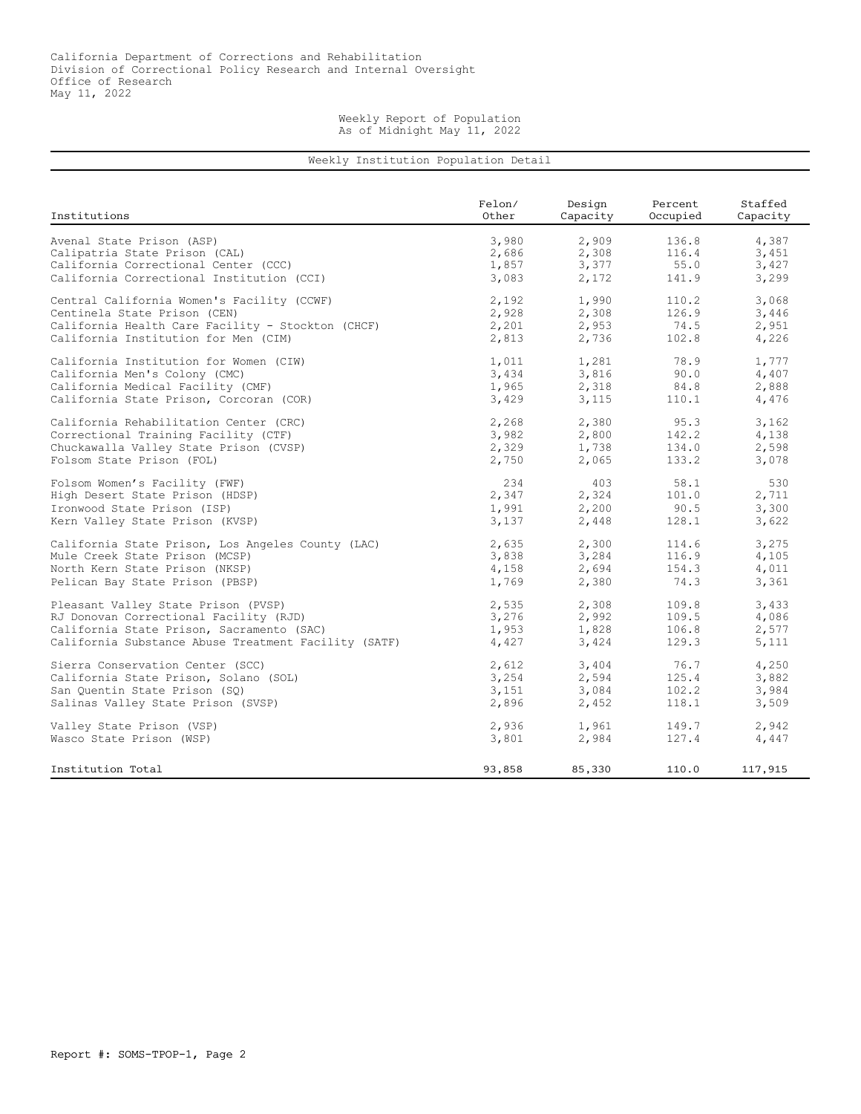## Weekly Report of Population As of Midnight May 11, 2022

## Weekly Institution Population Detail

| Institutions                                         | Felon/ | Design   | Percent  | Staffed  |
|------------------------------------------------------|--------|----------|----------|----------|
|                                                      | Other  | Capacity | Occupied | Capacity |
| Avenal State Prison (ASP)                            | 3,980  | 2,909    | 136.8    | 4,387    |
| Calipatria State Prison (CAL)                        | 2,686  | 2,308    | 116.4    | 3,451    |
| California Correctional Center (CCC)                 | 1,857  | 3,377    | 55.0     | 3,427    |
| California Correctional Institution (CCI)            | 3,083  | 2,172    | 141.9    | 3,299    |
| Central California Women's Facility (CCWF)           | 2,192  | 1,990    | 110.2    | 3,068    |
| Centinela State Prison (CEN)                         | 2,928  | 2,308    | 126.9    | 3,446    |
| California Health Care Facility - Stockton (CHCF)    | 2,201  | 2,953    | 74.5     | 2,951    |
| California Institution for Men (CIM)                 | 2,813  | 2,736    | 102.8    | 4,226    |
| California Institution for Women (CIW)               | 1,011  | 1,281    | 78.9     | 1,777    |
| California Men's Colony (CMC)                        | 3,434  | 3,816    | 90.0     | 4,407    |
| California Medical Facility (CMF)                    | 1,965  | 2,318    | 84.8     | 2,888    |
| California State Prison, Corcoran (COR)              | 3,429  | 3,115    | 110.1    | 4,476    |
| California Rehabilitation Center (CRC)               | 2,268  | 2,380    | 95.3     | 3,162    |
| Correctional Training Facility (CTF)                 | 3,982  | 2,800    | 142.2    | 4,138    |
| Chuckawalla Valley State Prison (CVSP)               | 2,329  | 1,738    | 134.0    | 2,598    |
| Folsom State Prison (FOL)                            | 2,750  | 2,065    | 133.2    | 3,078    |
| Folsom Women's Facility (FWF)                        | 234    | 403      | 58.1     | 530      |
| High Desert State Prison (HDSP)                      | 2,347  | 2,324    | 101.0    | 2,711    |
| Ironwood State Prison (ISP)                          | 1,991  | 2,200    | 90.5     | 3,300    |
| Kern Valley State Prison (KVSP)                      | 3,137  | 2,448    | 128.1    | 3,622    |
| California State Prison, Los Angeles County (LAC)    | 2,635  | 2,300    | 114.6    | 3,275    |
| Mule Creek State Prison (MCSP)                       | 3,838  | 3,284    | 116.9    | 4,105    |
| North Kern State Prison (NKSP)                       | 4,158  | 2,694    | 154.3    | 4,011    |
| Pelican Bay State Prison (PBSP)                      | 1,769  | 2,380    | 74.3     | 3,361    |
| Pleasant Valley State Prison (PVSP)                  | 2,535  | 2,308    | 109.8    | 3,433    |
| RJ Donovan Correctional Facility (RJD)               | 3,276  | 2,992    | 109.5    | 4,086    |
| California State Prison, Sacramento (SAC)            | 1,953  | 1,828    | 106.8    | 2,577    |
| California Substance Abuse Treatment Facility (SATF) | 4,427  | 3,424    | 129.3    | 5,111    |
| Sierra Conservation Center (SCC)                     | 2,612  | 3,404    | 76.7     | 4,250    |
| California State Prison, Solano (SOL)                | 3,254  | 2,594    | 125.4    | 3,882    |
| San Ouentin State Prison (SO)                        | 3,151  | 3,084    | 102.2    | 3,984    |
| Salinas Valley State Prison (SVSP)                   | 2,896  | 2,452    | 118.1    | 3,509    |
| Valley State Prison (VSP)                            | 2,936  | 1,961    | 149.7    | 2,942    |
| Wasco State Prison (WSP)                             | 3,801  | 2,984    | 127.4    | 4,447    |
| Institution Total                                    | 93,858 | 85,330   | 110.0    | 117,915  |